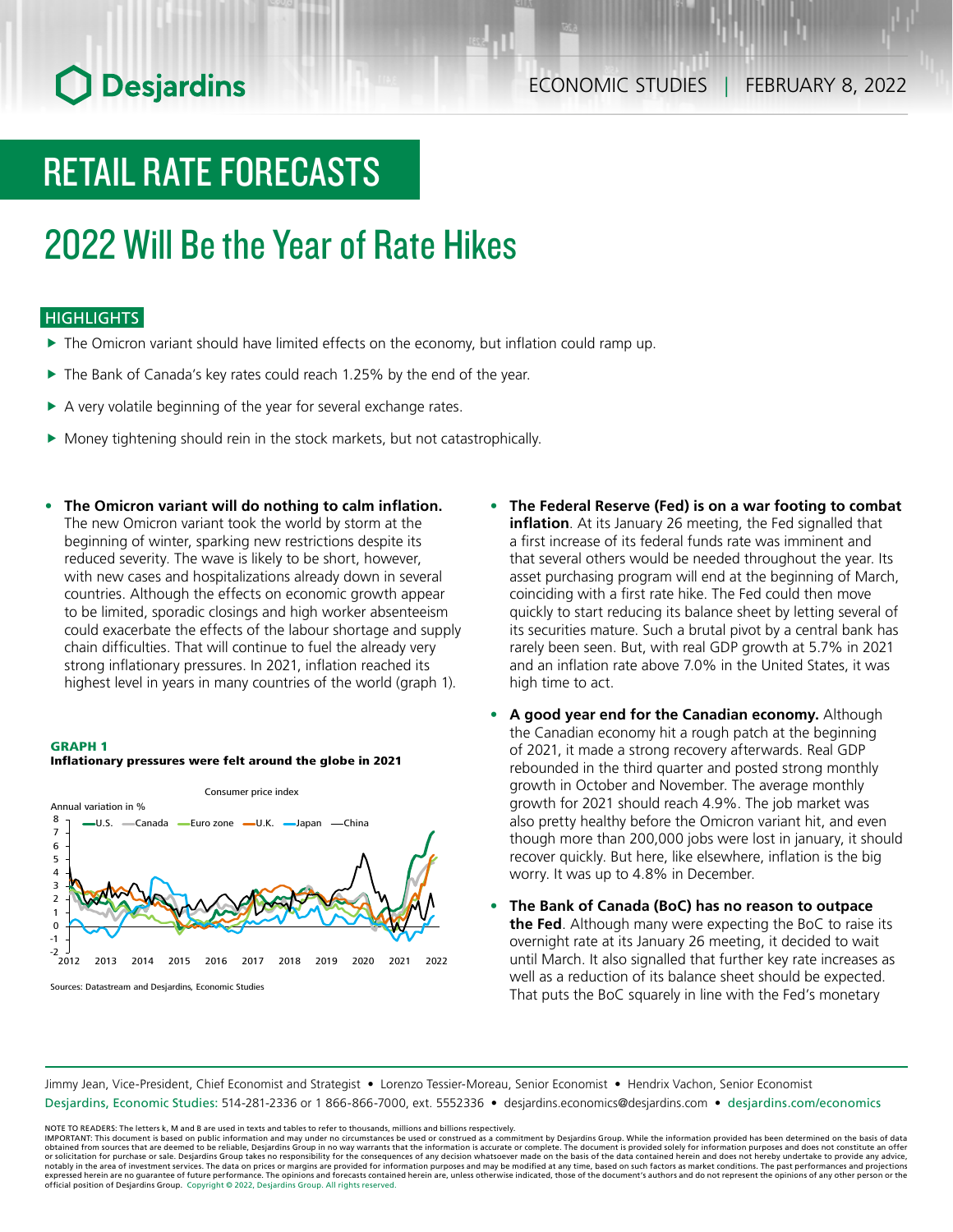# **O** Desjardins

# RETAIL RATE FORECASTS

## 2022 Will Be the Year of Rate Hikes

### **HIGHLIGHTS**

- $\blacktriangleright$  The Omicron variant should have limited effects on the economy, but inflation could ramp up.
- $\blacktriangleright$  The Bank of Canada's key rates could reach 1.25% by the end of the year.
- $\blacktriangleright$  A very volatile beginning of the year for several exchange rates.
- $\blacktriangleright$  Money tightening should rein in the stock markets, but not catastrophically.
- **• The Omicron variant will do nothing to calm inflation.** The new Omicron variant took the world by storm at the beginning of winter, sparking new restrictions despite its reduced severity. The wave is likely to be short, however, with new cases and hospitalizations already down in several countries. Although the effects on economic growth appear to be limited, sporadic closings and high worker absenteeism could exacerbate the effects of the labour shortage and supply chain difficulties. That will continue to fuel the already very strong inflationary pressures. In 2021, inflation reached its highest level in years in many countries of the world (graph 1).

#### GRAPH 1



#### Inflationary pressures were felt around the globe in 2021

- **• The Federal Reserve (Fed) is on a war footing to combat inflation**. At its January 26 meeting, the Fed signalled that a first increase of its federal funds rate was imminent and that several others would be needed throughout the year. Its asset purchasing program will end at the beginning of March, coinciding with a first rate hike. The Fed could then move quickly to start reducing its balance sheet by letting several of its securities mature. Such a brutal pivot by a central bank has rarely been seen. But, with real GDP growth at 5.7% in 2021 and an inflation rate above 7.0% in the United States, it was high time to act.
- **• A good year end for the Canadian economy.** Although the Canadian economy hit a rough patch at the beginning of 2021, it made a strong recovery afterwards. Real GDP rebounded in the third quarter and posted strong monthly growth in October and November. The average monthly growth for 2021 should reach 4.9%. The job market was also pretty healthy before the Omicron variant hit, and even though more than 200,000 jobs were lost in january, it should recover quickly. But here, like elsewhere, inflation is the big worry. It was up to 4.8% in December.
- **• The Bank of Canada (BoC) has no reason to outpace the Fed**. Although many were expecting the BoC to raise its overnight rate at its January 26 meeting, it decided to wait until March. It also signalled that further key rate increases as well as a reduction of its balance sheet should be expected. That puts the BoC squarely in line with the Fed's monetary

Jimmy Jean, Vice-President, Chief Economist and Strategist • Lorenzo Tessier-Moreau, Senior Economist • Hendrix Vachon, Senior Economist Desjardins, Economic Studies: 514-281-2336 or 1 866-866-7000, ext. 5552336 • desjardins.economics@desjardins.com • [desjardins.com/economics](http://desjardins.com/economics)

NOTE TO READERS: The letters k, M and B are used in texts and tables to refer to thousands, millions and billions respectively.<br>IMPORTANT: This document is based on public information and may under no circumstances be used obtained from sources that are deemed to be reliable, Desjardins Group in no way warrants that the information is accurate or complete. The document is provided solely for information purposes and does not constitute an of expressed herein are no guarantee of future performance. The opinions and forecasts contained herein are, unless otherwise indicated, those of the document's authors and do not represent the opinions of any other person or official position of Desjardins Group. Copyright © 2022, Desjardins Group. All rights reserved.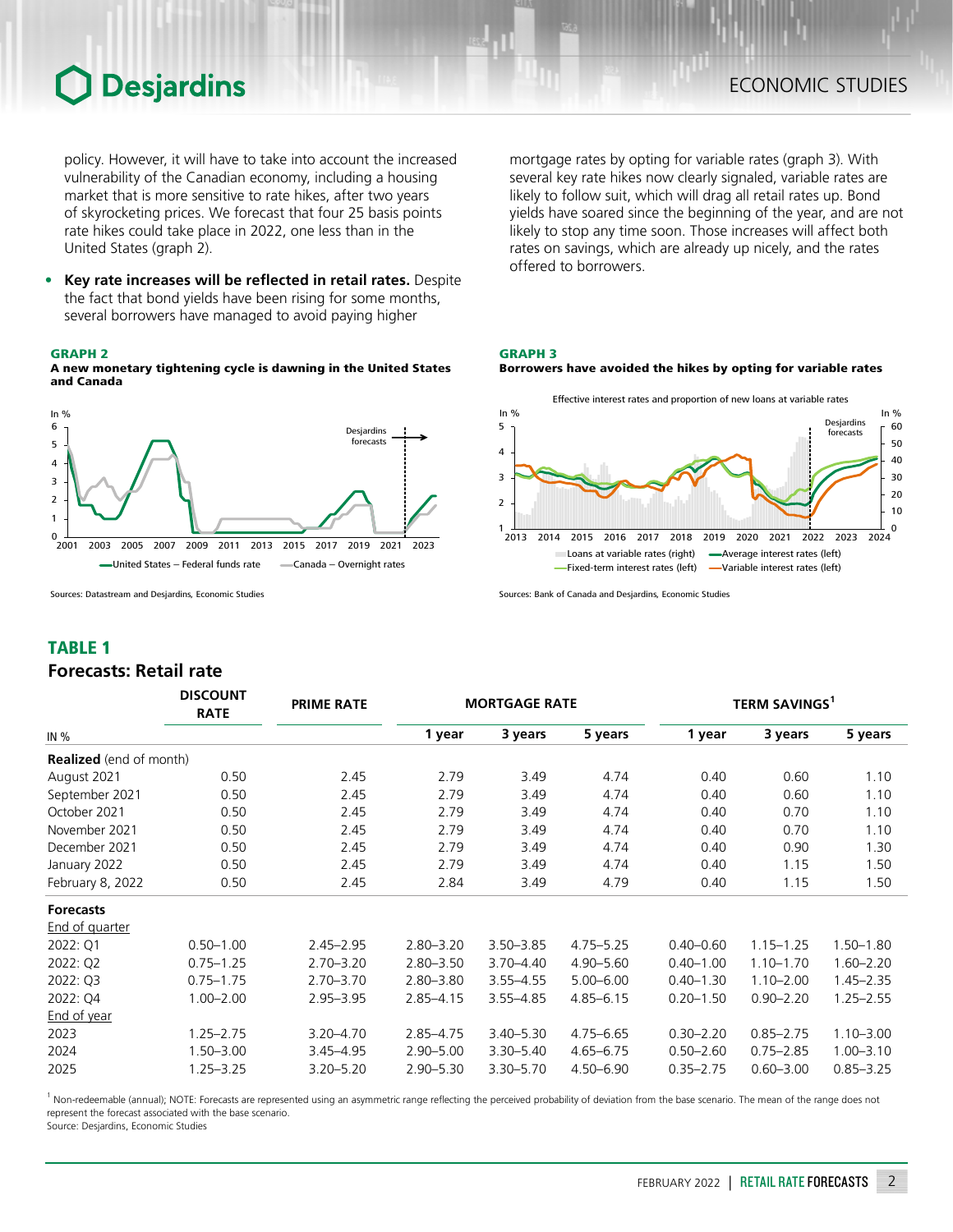## **Desjardins**

policy. However, it will have to take into account the increased vulnerability of the Canadian economy, including a housing market that is more sensitive to rate hikes, after two years of skyrocketing prices. We forecast that four 25 basis points rate hikes could take place in 2022, one less than in the United States (graph 2).

**• Key rate increases will be reflected in retail rates.** Despite the fact that bond yields have been rising for some months, several borrowers have managed to avoid paying higher

#### GRAPH 2

A new monetary tightening cycle is dawning in the United States and Canada



Sources: Datastream and Desjardins, Economic Studies

### TABLE 1

### *Forecasts: Retail rate*

mortgage rates by opting for variable rates (graph 3). With several key rate hikes now clearly signaled, variable rates are likely to follow suit, which will drag all retail rates up. Bond yields have soared since the beginning of the year, and are not likely to stop any time soon. Those increases will affect both rates on savings, which are already up nicely, and the rates offered to borrowers.

#### GRAPH 3



Borrowers have avoided the hikes by opting for variable rates



Sources: Bank of Canada and Desjardins, Economic Studies

|                                | <b>DISCOUNT</b><br><b>RATE</b> | <b>PRIME RATE</b> | <b>MORTGAGE RATE</b> |               |               |               | TERM SAVINGS <sup>1</sup> |               |  |  |
|--------------------------------|--------------------------------|-------------------|----------------------|---------------|---------------|---------------|---------------------------|---------------|--|--|
| IN %                           |                                |                   | 1 year               | 3 years       | 5 years       | 1 year        | 3 years                   | 5 years       |  |  |
| <b>Realized</b> (end of month) |                                |                   |                      |               |               |               |                           |               |  |  |
| August 2021                    | 0.50                           | 2.45              | 2.79                 | 3.49          | 4.74          | 0.40          | 0.60                      | 1.10          |  |  |
| September 2021                 | 0.50                           | 2.45              | 2.79                 | 3.49          | 4.74          | 0.40          | 0.60                      | 1.10          |  |  |
| October 2021                   | 0.50                           | 2.45              | 2.79                 | 3.49          | 4.74          | 0.40          | 0.70                      | 1.10          |  |  |
| November 2021                  | 0.50                           | 2.45              | 2.79                 | 3.49          | 4.74          | 0.40          | 0.70                      | 1.10          |  |  |
| December 2021                  | 0.50                           | 2.45              | 2.79                 | 3.49          | 4.74          | 0.40          | 0.90                      | 1.30          |  |  |
| January 2022                   | 0.50                           | 2.45              | 2.79                 | 3.49          | 4.74          | 0.40          | 1.15                      | 1.50          |  |  |
| February 8, 2022               | 0.50                           | 2.45              | 2.84                 | 3.49          | 4.79          | 0.40          | 1.15                      | 1.50          |  |  |
| <b>Forecasts</b>               |                                |                   |                      |               |               |               |                           |               |  |  |
| <b>End of quarter</b>          |                                |                   |                      |               |               |               |                           |               |  |  |
| 2022: Q1                       | $0.50 - 1.00$                  | $2.45 - 2.95$     | $2.80 - 3.20$        | $3.50 - 3.85$ | $4.75 - 5.25$ | $0.40 - 0.60$ | $1.15 - 1.25$             | $1.50 - 1.80$ |  |  |
| 2022: Q2                       | $0.75 - 1.25$                  | $2.70 - 3.20$     | $2.80 - 3.50$        | $3.70 - 4.40$ | $4.90 - 5.60$ | $0.40 - 1.00$ | $1.10 - 1.70$             | $1.60 - 2.20$ |  |  |
| 2022: Q3                       | $0.75 - 1.75$                  | $2.70 - 3.70$     | $2.80 - 3.80$        | $3.55 - 4.55$ | $5.00 - 6.00$ | $0.40 - 1.30$ | $1.10 - 2.00$             | $1.45 - 2.35$ |  |  |
| 2022: Q4                       | $1.00 - 2.00$                  | $2.95 - 3.95$     | $2.85 - 4.15$        | $3.55 - 4.85$ | $4.85 - 6.15$ | $0.20 - 1.50$ | $0.90 - 2.20$             | $1.25 - 2.55$ |  |  |
| <b>End of year</b>             |                                |                   |                      |               |               |               |                           |               |  |  |
| 2023                           | $1.25 - 2.75$                  | $3.20 - 4.70$     | $2.85 - 4.75$        | $3.40 - 5.30$ | $4.75 - 6.65$ | $0.30 - 2.20$ | $0.85 - 2.75$             | $1.10 - 3.00$ |  |  |
| 2024                           | $1.50 - 3.00$                  | $3.45 - 4.95$     | $2.90 - 5.00$        | $3.30 - 5.40$ | $4.65 - 6.75$ | $0.50 - 2.60$ | $0.75 - 2.85$             | $1.00 - 3.10$ |  |  |
| 2025                           | $1.25 - 3.25$                  | $3.20 - 5.20$     | $2.90 - 5.30$        | $3.30 - 5.70$ | 4.50 - 6.90   | $0.35 - 2.75$ | $0.60 - 3.00$             | $0.85 - 3.25$ |  |  |

<sup>1</sup> Non-redeemable (annual); NOTE: Forecasts are represented using an asymmetric range reflecting the perceived probability of deviation from the base scenario. The mean of the range does not represent the forecast associated with the base scenario.

Source: Desjardins, Economic Studies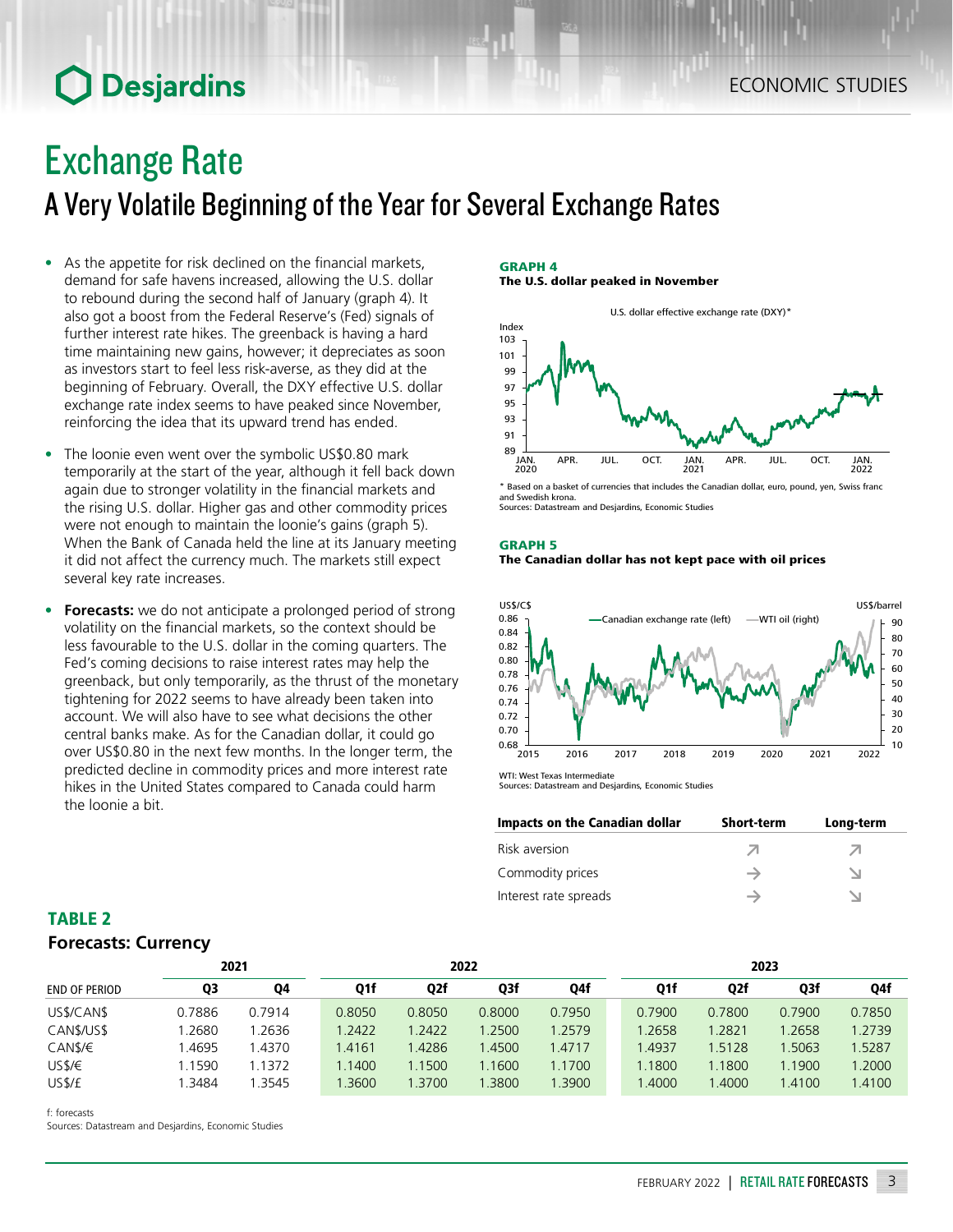### ECONOMIC STUDIES

## **O** Desjardins

## Exchange Rate

A Very Volatile Beginning of the Year for Several Exchange Rates

- As the appetite for risk declined on the financial markets. demand for safe havens increased, allowing the U.S. dollar to rebound during the second half of January (graph 4). It also got a boost from the Federal Reserve's (Fed) signals of further interest rate hikes. The greenback is having a hard time maintaining new gains, however; it depreciates as soon as investors start to feel less risk-averse, as they did at the beginning of February. Overall, the DXY effective U.S. dollar exchange rate index seems to have peaked since November, reinforcing the idea that its upward trend has ended.
- The loonie even went over the symbolic US\$0.80 mark temporarily at the start of the year, although it fell back down again due to stronger volatility in the financial markets and the rising U.S. dollar. Higher gas and other commodity prices were not enough to maintain the loonie's gains (graph 5). When the Bank of Canada held the line at its January meeting it did not affect the currency much. The markets still expect several key rate increases.
- **• Forecasts:** we do not anticipate a prolonged period of strong volatility on the financial markets, so the context should be less favourable to the U.S. dollar in the coming quarters. The Fed's coming decisions to raise interest rates may help the greenback, but only temporarily, as the thrust of the monetary tightening for 2022 seems to have already been taken into account. We will also have to see what decisions the other central banks make. As for the Canadian dollar, it could go over US\$0.80 in the next few months. In the longer term, the predicted decline in commodity prices and more interest rate hikes in the United States compared to Canada could harm the loonie a bit.

#### GRAPH 4 The U.S. dollar peaked in November



\* Based on a basket of currencies that includes the Canadian dollar, euro, pound, yen, Swiss franc and Swedish krona. Sources: Datastream and Desjardins, Economic Studies

#### GRAPH 5 The Canadian dollar has not kept pace with oil prices



WTI: West Texas Intermediate Sources: Datastream and Desjardins, Economic Studies

| Impacts on the Canadian dollar | <b>Short-term</b> | Long-term |
|--------------------------------|-------------------|-----------|
| Risk aversion                  |                   | Λ         |
| Commodity prices               |                   |           |
| Interest rate spreads          |                   |           |

### TABLE 2 *Forecasts: Currency*

|        |        | 2022   |        |        | 2023   |  |        |        |        |        |
|--------|--------|--------|--------|--------|--------|--|--------|--------|--------|--------|
| Q3     | Q4     | Q1f    | Q2f    | Q3f    | Q4f    |  | Q1f    | Q2f    | Q3f    | Q4f    |
| 0.7886 | 0.7914 | 0.8050 | 0.8050 | 0.8000 | 0.7950 |  | 0.7900 | 0.7800 | 0.7900 | 0.7850 |
| .2680  | .2636  | 1.2422 | 1.2422 | .2500  | 1.2579 |  | 1.2658 | 1.2821 | 1.2658 | 1.2739 |
| .4695  | 1.4370 | 1.4161 | .4286  | .4500  | .4717  |  | 1.4937 | 1.5128 | 1.5063 | 1.5287 |
| .1590  | 1.1372 | 1.1400 | .1500  | 1.1600 | 1.1700 |  | .1800  | 1.1800 | 1.1900 | .2000  |
| .3484  | 1.3545 | .3600  | .3700  | 1.3800 | 1.3900 |  | .4000  | 1.4000 | 1.4100 | 1.4100 |
|        |        | 2021   |        |        |        |  |        |        |        |        |

f: forecasts

Sources: Datastream and Desjardins, Economic Studies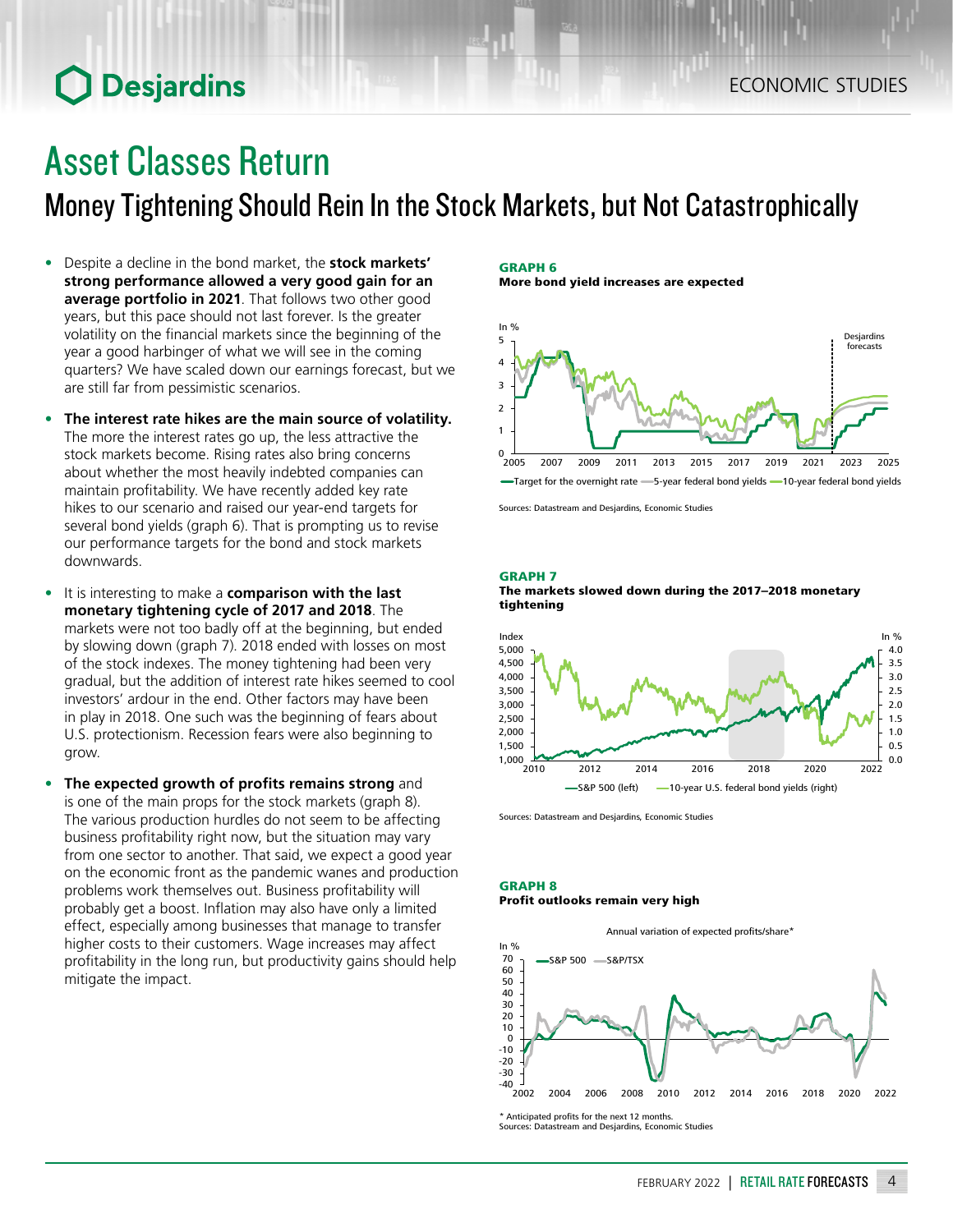## **O** Desjardins

## Asset Classes Return

Money Tightening Should Rein In the Stock Markets, but Not Catastrophically

- Despite a decline in the bond market, the **stock markets' strong performance allowed a very good gain for an average portfolio in 2021**. That follows two other good years, but this pace should not last forever. Is the greater volatility on the financial markets since the beginning of the year a good harbinger of what we will see in the coming quarters? We have scaled down our earnings forecast, but we are still far from pessimistic scenarios.
- **• The interest rate hikes are the main source of volatility.** The more the interest rates go up, the less attractive the stock markets become. Rising rates also bring concerns about whether the most heavily indebted companies can maintain profitability. We have recently added key rate hikes to our scenario and raised our year-end targets for several bond yields (graph 6). That is prompting us to revise our performance targets for the bond and stock markets downwards.
- It is interesting to make a **comparison with the last monetary tightening cycle of 2017 and 2018**. The markets were not too badly off at the beginning, but ended by slowing down (graph 7). 2018 ended with losses on most of the stock indexes. The money tightening had been very gradual, but the addition of interest rate hikes seemed to cool investors' ardour in the end. Other factors may have been in play in 2018. One such was the beginning of fears about U.S. protectionism. Recession fears were also beginning to grow.
- **• The expected growth of profits remains strong** and is one of the main props for the stock markets (graph 8). The various production hurdles do not seem to be affecting business profitability right now, but the situation may vary from one sector to another. That said, we expect a good year on the economic front as the pandemic wanes and production problems work themselves out. Business profitability will probably get a boost. Inflation may also have only a limited effect, especially among businesses that manage to transfer higher costs to their customers. Wage increases may affect profitability in the long run, but productivity gains should help mitigate the impact.

### GRAPH 6

More bond yield increases are expected



Sources: Datastream and Desjardins, Economic Studies

#### GRAPH 7





Sources: Datastream and Desjardins, Economic Studies

#### GRAPH 8 Profit outlooks remain very high



\* Anticipated profits for the next 12 months. Sources: Datastream and Desjardins, Economic Studies